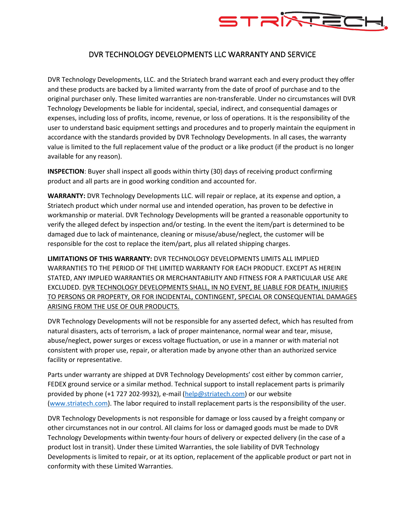

## DVR TECHNOLOGY DEVELOPMENTS LLC WARRANTY AND SERVICE

DVR Technology Developments, LLC. and the Striatech brand warrant each and every product they offer and these products are backed by a limited warranty from the date of proof of purchase and to the original purchaser only. These limited warranties are non-transferable. Under no circumstances will DVR Technology Developments be liable for incidental, special, indirect, and consequential damages or expenses, including loss of profits, income, revenue, or loss of operations. It is the responsibility of the user to understand basic equipment settings and procedures and to properly maintain the equipment in accordance with the standards provided by DVR Technology Developments. In all cases, the warranty value is limited to the full replacement value of the product or a like product (if the product is no longer available for any reason).

**INSPECTION**: Buyer shall inspect all goods within thirty (30) days of receiving product confirming product and all parts are in good working condition and accounted for.

**WARRANTY:** DVR Technology Developments LLC. will repair or replace, at its expense and option, a Striatech product which under normal use and intended operation, has proven to be defective in workmanship or material. DVR Technology Developments will be granted a reasonable opportunity to verify the alleged defect by inspection and/or testing. In the event the item/part is determined to be damaged due to lack of maintenance, cleaning or misuse/abuse/neglect, the customer will be responsible for the cost to replace the item/part, plus all related shipping charges.

**LIMITATIONS OF THIS WARRANTY:** DVR TECHNOLOGY DEVELOPMENTS LIMITS ALL IMPLIED WARRANTIES TO THE PERIOD OF THE LIMITED WARRANTY FOR EACH PRODUCT. EXCEPT AS HEREIN STATED, ANY IMPLIED WARRANTIES OR MERCHANTABILITY AND FITNESS FOR A PARTICULAR USE ARE EXCLUDED. DVR TECHNOLOGY DEVELOPMENTS SHALL, IN NO EVENT, BE LIABLE FOR DEATH, INJURIES TO PERSONS OR PROPERTY, OR FOR INCIDENTAL, CONTINGENT, SPECIAL OR CONSEQUENTIAL DAMAGES ARISING FROM THE USE OF OUR PRODUCTS.

DVR Technology Developments will not be responsible for any asserted defect, which has resulted from natural disasters, acts of terrorism, a lack of proper maintenance, normal wear and tear, misuse, abuse/neglect, power surges or excess voltage fluctuation, or use in a manner or with material not consistent with proper use, repair, or alteration made by anyone other than an authorized service facility or representative.

Parts under warranty are shipped at DVR Technology Developments' cost either by common carrier, FEDEX ground service or a similar method. Technical support to install replacement parts is primarily provided by phone (+1 727 202-9932), e-mail (help@striatech.com) or our website (www.striatech.com). The labor required to install replacement parts is the responsibility of the user.

DVR Technology Developments is not responsible for damage or loss caused by a freight company or other circumstances not in our control. All claims for loss or damaged goods must be made to DVR Technology Developments within twenty-four hours of delivery or expected delivery (in the case of a product lost in transit). Under these Limited Warranties, the sole liability of DVR Technology Developments is limited to repair, or at its option, replacement of the applicable product or part not in conformity with these Limited Warranties.